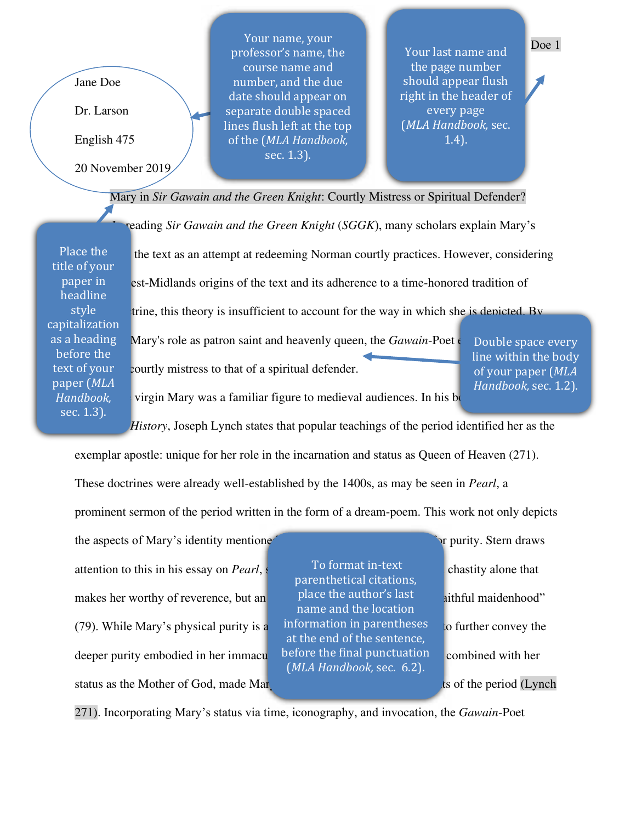Jane Doe

Dr. Larson

English 475

20 November 2019

Your name, your professor's name, the course name and number, and the due date should appear on separate double spaced lines flush left at the top of the (*MLA Handbook,* sec. 1.3).

Your last name and the page number should appear flush right in the header of every page (*MLA Handbook,* sec. 1.4).

Mary in *Sir Gawain and the Green Knight*: Courtly Mistress or Spiritual Defender?

Place the title of your paper in headline style capitalization as a heading before the text of your paper (*MLA Handbook,* sec. 1.3).

reading *Sir Gawain and the Green Knight* (*SGGK*), many scholars explain Mary's the text as an attempt at redeeming Norman courtly practices. However, considering est-Midlands origins of the text and its adherence to a time-honored tradition of trine, this theory is insufficient to account for the way in which she is depicted. By Mary's role as patron saint and heavenly queen, the *Gawain*-Poet electron saint and heavenly queen, the *Gawain*-Poet courtly mistress to that of a spiritual defender.

Double space every line within the body of your paper (*MLA Handbook,* sec. 1.2).

virgin Mary was a familiar figure to medieval audiences. In his book

*Church: History*, Joseph Lynch states that popular teachings of the period identified her as the

exemplar apostle: unique for her role in the incarnation and status as Queen of Heaven (271).

These doctrines were already well-established by the 1400s, as may be seen in *Pearl*, a

prominent sermon of the period written in the form of a dream-poem. This work not only depicts

the aspects of Mary's identity mentioned above, but also as a paradigm for purity. Stern draws attention to this in his essay on *Pearl*, stationary is not matched that the Chastity alone that makes her worthy of reverence, but an  $\frac{p \cdot p}{p}$  blace the author's last  $\frac{p}{p}$  aithful maidenhood" (79). While Mary's physical purity is a information in parentheses to further convey the deeper purity embodied in her immaculate life. The final punctuation combined with her status as the Mother of God, made Mary one of the most well-known said the most well-known saints of the period (Lynch

 To format in-text parenthetical citations, place the author's last name and the location information in parentheses at the end of the sentence, before the final punctuation (*MLA Handbook,* sec. 6.2).

271). Incorporating Mary's status via time, iconography, and invocation, the *Gawain*-Poet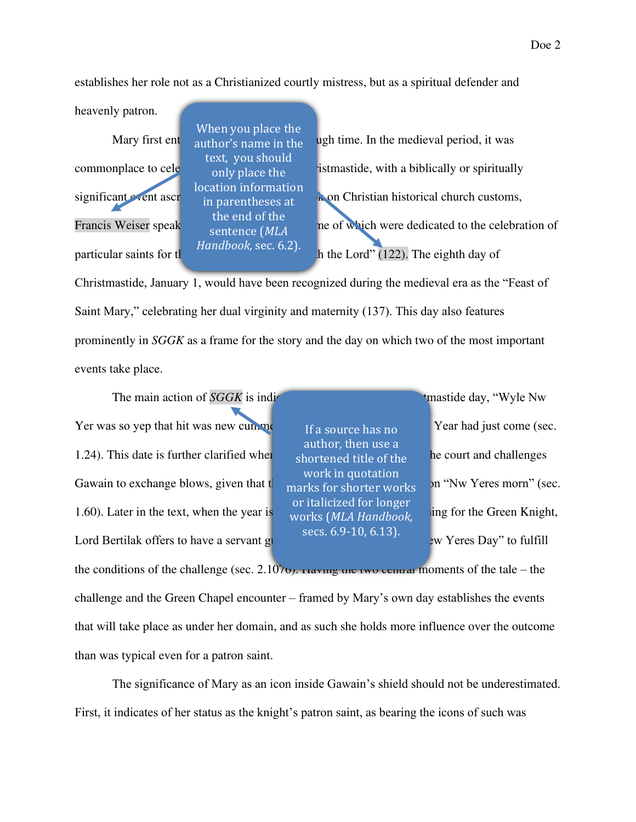establishes her role not as a Christianized courtly mistress, but as a spiritual defender and

heavenly patron.

When you place the author's name in the text, you should only place the location information in parentheses at the end of the sentence (*MLA Handbook,* sec. 6.2).

Mary first ent surfactor's name in the ugh time. In the medieval period, it was commonplace to cele<sub>ophyplace the</sub> istmastide, with a biblically or spiritually significant event ascr<sub>ibed to each one</sub>. In historical church customs, Francis Weiser speak  $\frac{1}{2}$  about the set of which were dedicated to the celebration of particular saints for  $\frac{d}{dx}$  in the Lord" (122). The eighth day of

Christmastide, January 1, would have been recognized during the medieval era as the "Feast of Saint Mary," celebrating her dual virginity and maternity (137). This day also features prominently in *SGGK* as a frame for the story and the day on which two of the most important events take place.

The main action of *SGGK* is indicated as **beginning on a Christmastide day**, "Wyle Nw Yer was so yep that hit was new cumment,  $\frac{1}{2}$  on the New Year had just come (sec. 1.24). This date is further clarified when  $\epsilon$  shortened title of the  $\epsilon$  be court and challenges Gawain to exchange blows, given that  $t_{\text{marks}}$  for shorter works – on "Nw Yeres morn" (sec. 1.60). Later in the text, when the year is complete  $(MIA$  Handbook ing for the Green Knight, Lord Bertilak offers to have a servant guide him to him to him to here  $\frac{1}{2}$  by Yeres Day" to fulfill

If a source has no author, then use a shortened title of the work in quotation marks for shorter works or italicized for longer works (*MLA Handbook,* secs. 6.9-10, 6.13).

the conditions of the challenge (sec. 2.1076). Having the two central moments of the tale – the challenge and the Green Chapel encounter – framed by Mary's own day establishes the events that will take place as under her domain, and as such she holds more influence over the outcome than was typical even for a patron saint.

The significance of Mary as an icon inside Gawain's shield should not be underestimated. First, it indicates of her status as the knight's patron saint, as bearing the icons of such was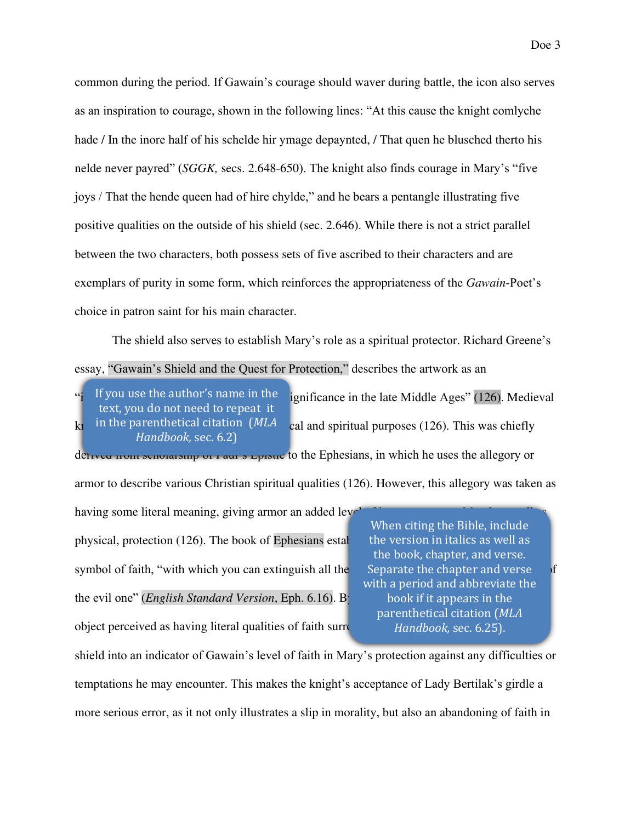common during the period. If Gawain's courage should waver during battle, the icon also serves as an inspiration to courage, shown in the following lines: "At this cause the knight comlyche hade / In the inore half of his schelde hir ymage depaynted, / That quen he blusched therto his nelde never payred" (*SGGK,* secs. 2.648-650). The knight also finds courage in Mary's "five joys / That the hende queen had of hire chylde," and he bears a pentangle illustrating five positive qualities on the outside of his shield (sec. 2.646). While there is not a strict parallel between the two characters, both possess sets of five ascribed to their characters and are exemplars of purity in some form, which reinforces the appropriateness of the *Gawain*-Poet's choice in patron saint for his main character.

The shield also serves to establish Mary's role as a spiritual protector. Richard Greene's essay, "Gawain's Shield and the Quest for Protection," describes the artwork as an

ignificance in the late Middle Ages" (126). Medieval  $k_1$  in the parenthetical citation (MLA cal and spiritual purposes (126). This was chiefly deterived from scholarship of Paul's Epistle to the Ephesians, in which he uses the allegory or If you use the author's name in the text, you do not need to repeat it in the parenthetical citation (*MLA Handbook,* sec. 6.2)

armor to describe various Christian spiritual qualities (126). However, this allegory was taken as

having some literal meaning, giving armor an added level physical, protection (126). The book of Ephesians establishes the shield in particular as an army particular as  $\frac{1}{2}$ symbol of faith, "with which you can extinguish all the the evil one" *(English Standard Version*, Eph. 6.16). B object perceived as having literal qualities of faith surrounding iteration-

When citing the Bible, include the version in italics as well as the book, chapter, and verse. Separate the chapter and verse with a period and abbreviate the book if it appears in the parenthetical citation (*MLA Handbook,* sec. 6.25).

shield into an indicator of Gawain's level of faith in Mary's protection against any difficulties or temptations he may encounter. This makes the knight's acceptance of Lady Bertilak's girdle a more serious error, as it not only illustrates a slip in morality, but also an abandoning of faith in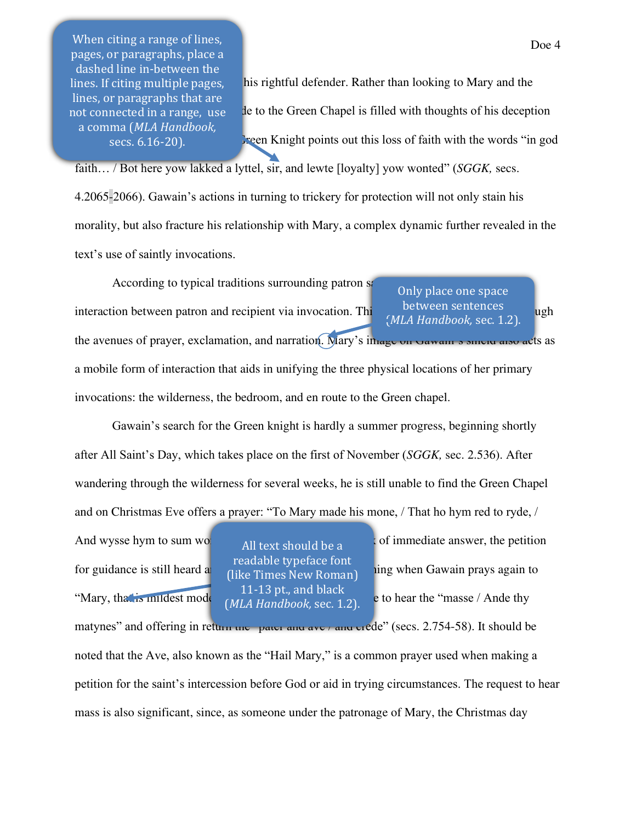When citing a range of lines, pages, or paragraphs, place a dashed line in-between the lines. If citing multiple pages, lines, or paragraphs that are not connected in a range, use a comma (*MLA Handbook,* secs. 6.16-20).

his rightful defender. Rather than looking to Mary and the de to the Green Chapel is filled with thoughts of his deception reen Knight points out this loss of faith with the words "in god"

faith… / Bot here yow lakked a lyttel, sir, and lewte [loyalty] yow wonted" (*SGGK,* secs. 4.2065-2066). Gawain's actions in turning to trickery for protection will not only stain his morality, but also fracture his relationship with Mary, a complex dynamic further revealed in the text's use of saintly invocations.

According to typical traditions surrounding patron some interaction between patron and recipient via invocation. This occurs in **SGGK** primarily through the settlement of the settlement of the settlement of the settlement of the settlement of the settlement of the settlement of the avenues of prayer, exclamation, and narration. Mary's image on Gawain's sinere also acts as a mobile form of interaction that aids in unifying the three physical locations of her primary invocations: the wilderness, the bedroom, and en route to the Green chapel. Only place one space between sentences (*MLA Handbook,* sec. 1.2).

Gawain's search for the Green knight is hardly a summer progress, beginning shortly after All Saint's Day, which takes place on the first of November (*SGGK,* sec. 2.536). After wandering through the wilderness for several weeks, he is still unable to find the Green Chapel and on Christmas Eve offers a prayer: "To Mary made his mone, / That ho hym red to ryde, /

And wysse hym to sum wow  $\frac{1}{2}$  (2.737-739). Despite the lack of immediate answer, the petition

All text should be a readable typeface font (like Times New Roman) 11-13 pt., and black (*MLA Handbook,* sec. 1.2).

for guidance is still heard  $a_0$  (iike Times New Poman)  $\frac{m}{n}$  sum when Gawain prays again to "Mary, that is mildest moder some to hear the "masse / Ande thy"

matynes" and offering in return the pater and ave / and crede" (secs. 2.754-58). It should be noted that the Ave, also known as the "Hail Mary," is a common prayer used when making a petition for the saint's intercession before God or aid in trying circumstances. The request to hear mass is also significant, since, as someone under the patronage of Mary, the Christmas day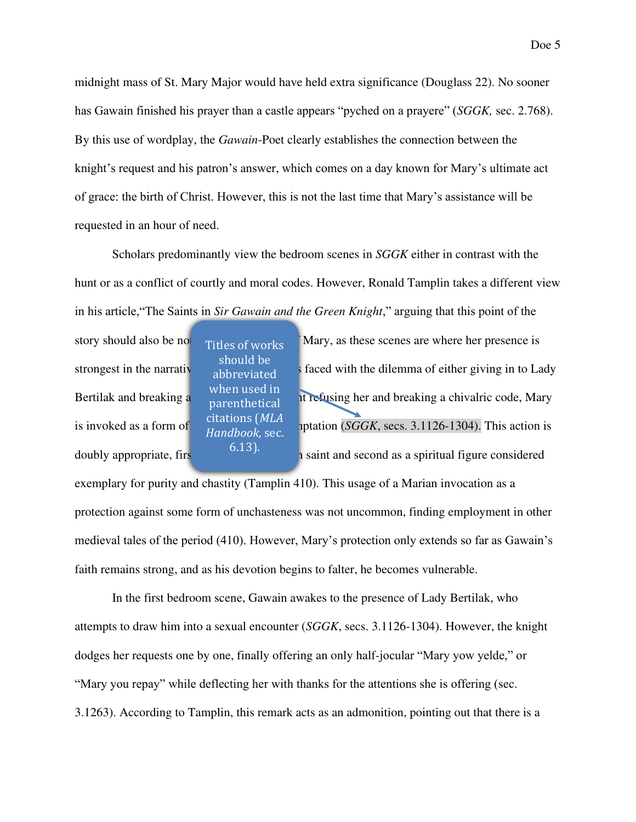midnight mass of St. Mary Major would have held extra significance (Douglass 22). No sooner has Gawain finished his prayer than a castle appears "pyched on a prayere" (*SGGK,* sec. 2.768). By this use of wordplay, the *Gawain*-Poet clearly establishes the connection between the knight's request and his patron's answer, which comes on a day known for Mary's ultimate act of grace: the birth of Christ. However, this is not the last time that Mary's assistance will be requested in an hour of need.

 Scholars predominantly view the bedroom scenes in *SGGK* either in contrast with the hunt or as a conflict of courtly and moral codes. However, Ronald Tamplin takes a different view in his article,"The Saints in *Sir Gawain and the Green Knight*," arguing that this point of the

Titles of works should be abbreviated when used in parenthetical citations (*MLA Handbook,* sec. 6.13).

story should also be not include of works Mary, as these scenes are where her presence is strongest in the narrative  $\frac{1}{2}$  as faced with the dilemma of either giving in to Lady Bertilak and breaking a mortifical is not or outright refusing her and breaking a chivalric code, Mary is invoked as a form of  $\frac{1}{\sqrt{N}}$  protection against temptation (*SGGK*, secs. 3.1126-1304). This action is doubly appropriate, firs  $\frac{(115)}{100}$  here is saint and second as a spiritual figure considered

exemplary for purity and chastity (Tamplin 410). This usage of a Marian invocation as a protection against some form of unchasteness was not uncommon, finding employment in other medieval tales of the period (410). However, Mary's protection only extends so far as Gawain's faith remains strong, and as his devotion begins to falter, he becomes vulnerable.

 In the first bedroom scene, Gawain awakes to the presence of Lady Bertilak, who attempts to draw him into a sexual encounter (*SGGK*, secs. 3.1126-1304). However, the knight dodges her requests one by one, finally offering an only half-jocular "Mary yow yelde," or "Mary you repay" while deflecting her with thanks for the attentions she is offering (sec. 3.1263). According to Tamplin, this remark acts as an admonition, pointing out that there is a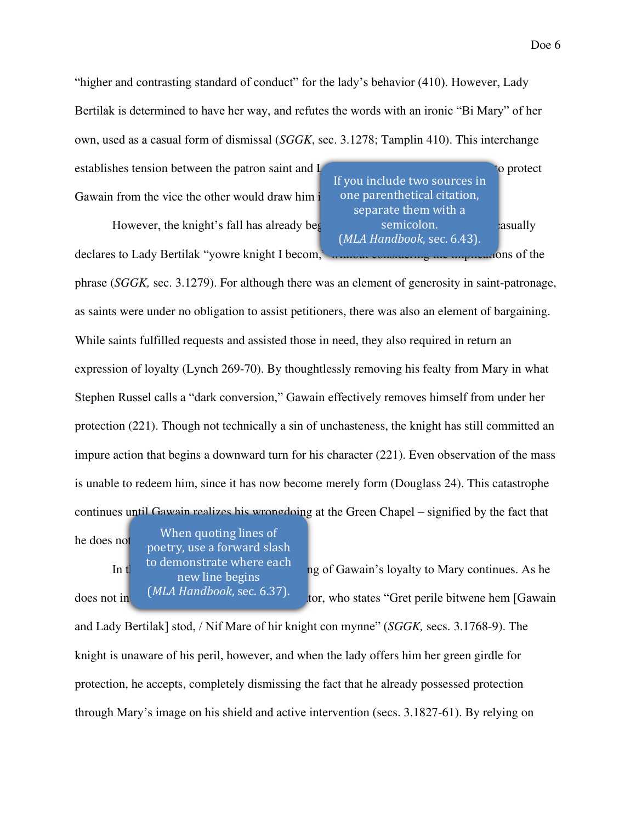"higher and contrasting standard of conduct" for the lady's behavior (410). However, Lady Bertilak is determined to have her way, and refutes the words with an ironic "Bi Mary" of her own, used as a casual form of dismissal (*SGGK*, sec. 3.1278; Tamplin 410). This interchange

establishes tension between the patron saint and Lady Bertiland Bertilan Bertilan, with one attenption of the patron saint and Lady Bertilan Bertilan attention of the patron saint and Lady Bertilan Bertilan at the patron o Gawain from the vice the other would draw him  $\mathbf i$ .

However, the knight's fall has already begun. After leaving the bedroom, he casually declares to Lady Bertilak "yowre knight I becom," www.without considering the implications of the

If you include two sources in one parenthetical citation, separate them with a semicolon. (*MLA Handbook*, sec. 6.43).

phrase (*SGGK,* sec. 3.1279). For although there was an element of generosity in saint-patronage, as saints were under no obligation to assist petitioners, there was also an element of bargaining. While saints fulfilled requests and assisted those in need, they also required in return an expression of loyalty (Lynch 269-70). By thoughtlessly removing his fealty from Mary in what Stephen Russel calls a "dark conversion," Gawain effectively removes himself from under her protection (221). Though not technically a sin of unchasteness, the knight has still committed an impure action that begins a downward turn for his character (221). Even observation of the mass is unable to redeem him, since it has now become merely form (Douglass 24). This catastrophe continues until Gawain realizes his wrongdoing at the Green Chapel – signified by the fact that

he does not meet the does not meet the does not meet your poetry, use a forward slash When quoting lines of to demonstrate where each

> new line begins (*MLA Handbook*, sec. 6.37).

In the the the third bedroom scheme fracturing of Gawain's loyalty to Mary continues. As he does not in *WER HURDOOK*, SEC. 0.37). tor, who states "Gret perile bitwene hem [Gawain

and Lady Bertilak] stod, / Nif Mare of hir knight con mynne" (*SGGK,* secs. 3.1768-9). The knight is unaware of his peril, however, and when the lady offers him her green girdle for protection, he accepts, completely dismissing the fact that he already possessed protection through Mary's image on his shield and active intervention (secs. 3.1827-61). By relying on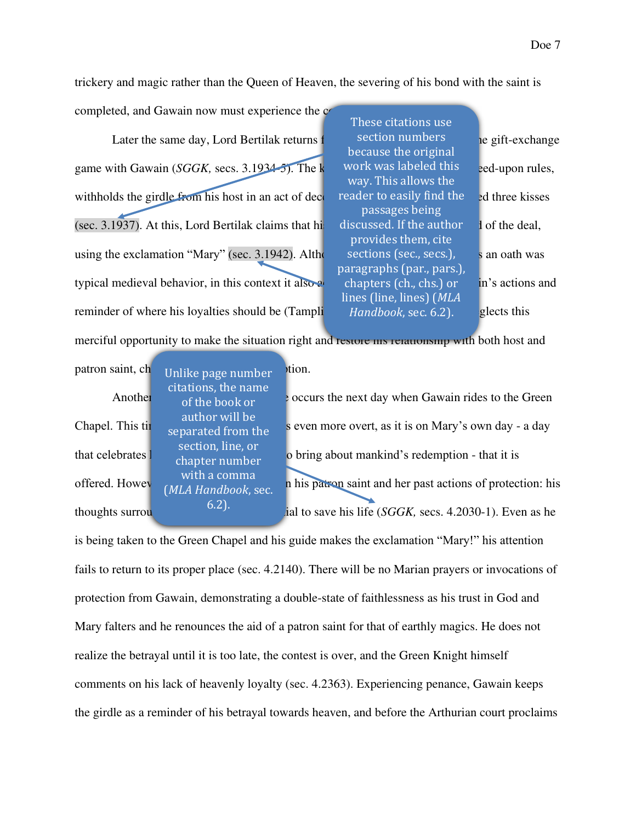trickery and magic rather than the Queen of Heaven, the severing of his bond with the saint is

completed, and Gawain now must experience the c

Later the same day, Lord Bertilak returns from section numbers in earlier exchange game with Gawain (*SGGK*, secs. 3.1934-5). The k work was labeled this e-ed-upon rules, withholds the girdle from his host in an act of deception, relative to easily find the only three kisses (sec. 3.1937). At this, Lord Bertilak claims that high discussed. If the author  $\frac{1}{1}$  of the deal, using the exclamation "Mary" (sec. 3.1942). Although the invocation of sec., secs.), san oath was typical medieval behavior, in this context it also a chapters  $(ch., chs.)$  or in's actions and reminder of where his loyalties should be  $(Tampli$  *Handbook, sec.* 6.2). glects this

These citations use section numbers because the original work was labeled this way. This allows the reader to easily find the passages being discussed. If the author provides them, cite sections (sec., secs.), paragraphs (par., pars.), chapters (ch., chs.) or lines (line, lines) (*MLA Handbook*, sec. 6.2).

merciful opportunity to make the situation right and restore ins relationship with both host and

patron saint, ch<sub>oUnlike page number</sub> vion. citations, the name of the book or author will be separated from the section, line, or chapter number with a comma (*MLA Handbook*, sec. 6.2).

Another  $\sigma$  of the hook or  $\sigma$  cocurs the next day when Gawain rides to the Green Chapel. This time the opportunity to turn is even more overt, as it is on Mary's own day - a day that celebrates  $\frac{1}{2}$  change in her act of graphs of bring about mankind's redemption - that it is offered. However, Gaust Handbook asset his patron saint and her past actions of protection: his thoughts surrou  $\frac{0.2 \text{ J}}{2}$  ial to save his life (*SGGK*, secs. 4.2030-1). Even as he

is being taken to the Green Chapel and his guide makes the exclamation "Mary!" his attention fails to return to its proper place (sec. 4.2140). There will be no Marian prayers or invocations of protection from Gawain, demonstrating a double-state of faithlessness as his trust in God and Mary falters and he renounces the aid of a patron saint for that of earthly magics. He does not realize the betrayal until it is too late, the contest is over, and the Green Knight himself comments on his lack of heavenly loyalty (sec. 4.2363). Experiencing penance, Gawain keeps the girdle as a reminder of his betrayal towards heaven, and before the Arthurian court proclaims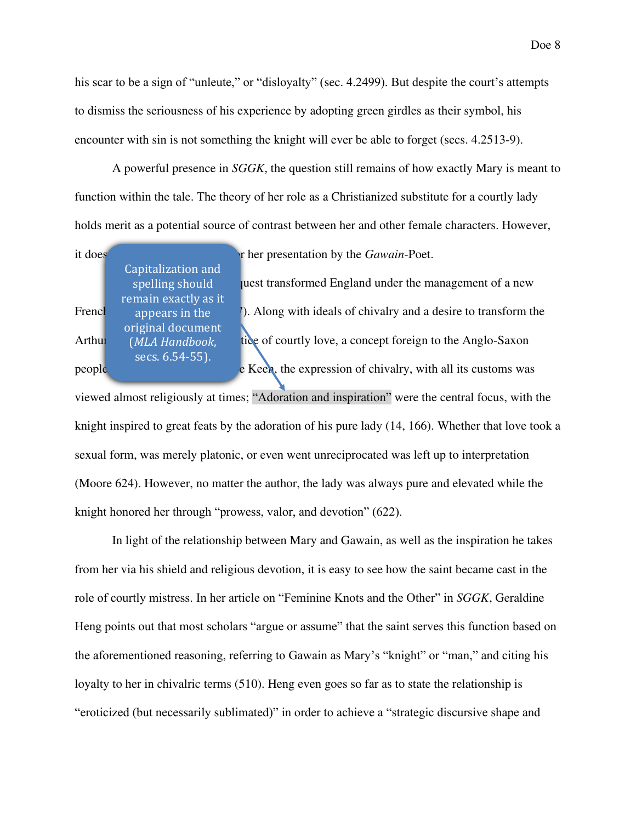his scar to be a sign of "unleute," or "disloyalty" (sec. 4.2499). But despite the court's attempts to dismiss the seriousness of his experience by adopting green girdles as their symbol, his encounter with sin is not something the knight will ever be able to forget (secs. 4.2513-9).

 A powerful presence in *SGGK*, the question still remains of how exactly Mary is meant to function within the tale. The theory of her role as a Christianized substitute for a courtly lady holds merit as a potential source of contrast between her and other female characters. However,

| it does       |                      | In the presentation by the <i>Gawain</i> -Poet.                |
|---------------|----------------------|----------------------------------------------------------------|
|               | Capitalization and   |                                                                |
|               | spelling should      | uest transformed England under the management of a new         |
|               | remain exactly as it |                                                                |
| French        | appears in the       | ). Along with ideals of chivalry and a desire to transform the |
|               | original document    |                                                                |
| <b>Arthui</b> | (MLA Handbook,       | tice of courtly love, a concept foreign to the Anglo-Saxon     |
|               | secs. 6.54-55).      |                                                                |
| people        |                      | e Keen, the expression of chivalry, with all its customs was   |
|               |                      |                                                                |

viewed almost religiously at times; "Adoration and inspiration" were the central focus, with the knight inspired to great feats by the adoration of his pure lady (14, 166). Whether that love took a sexual form, was merely platonic, or even went unreciprocated was left up to interpretation (Moore 624). However, no matter the author, the lady was always pure and elevated while the knight honored her through "prowess, valor, and devotion" (622).

 In light of the relationship between Mary and Gawain, as well as the inspiration he takes from her via his shield and religious devotion, it is easy to see how the saint became cast in the role of courtly mistress. In her article on "Feminine Knots and the Other" in *SGGK*, Geraldine Heng points out that most scholars "argue or assume" that the saint serves this function based on the aforementioned reasoning, referring to Gawain as Mary's "knight" or "man," and citing his loyalty to her in chivalric terms (510). Heng even goes so far as to state the relationship is "eroticized (but necessarily sublimated)" in order to achieve a "strategic discursive shape and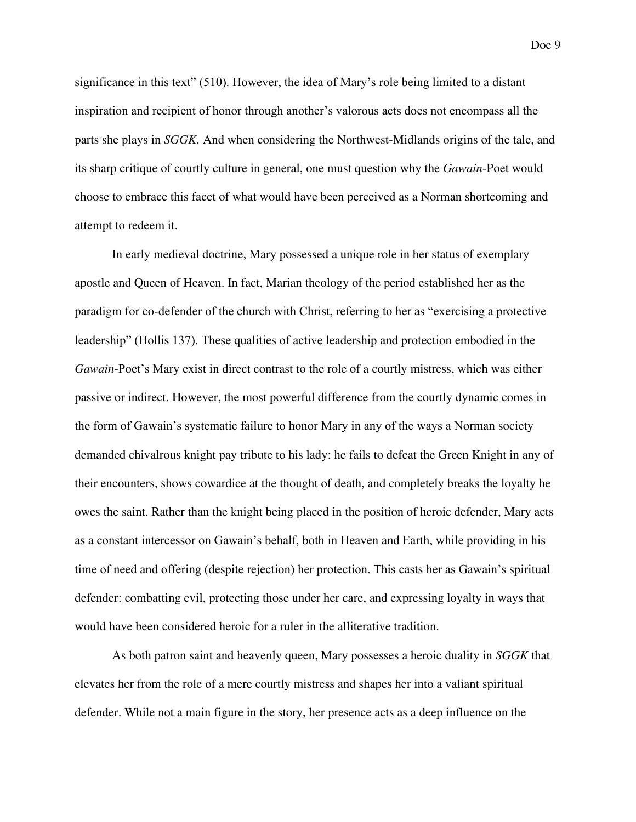significance in this text" (510). However, the idea of Mary's role being limited to a distant inspiration and recipient of honor through another's valorous acts does not encompass all the parts she plays in *SGGK*. And when considering the Northwest-Midlands origins of the tale, and its sharp critique of courtly culture in general, one must question why the *Gawain*-Poet would choose to embrace this facet of what would have been perceived as a Norman shortcoming and attempt to redeem it.

In early medieval doctrine, Mary possessed a unique role in her status of exemplary apostle and Queen of Heaven. In fact, Marian theology of the period established her as the paradigm for co-defender of the church with Christ, referring to her as "exercising a protective leadership" (Hollis 137). These qualities of active leadership and protection embodied in the *Gawain*-Poet's Mary exist in direct contrast to the role of a courtly mistress, which was either passive or indirect. However, the most powerful difference from the courtly dynamic comes in the form of Gawain's systematic failure to honor Mary in any of the ways a Norman society demanded chivalrous knight pay tribute to his lady: he fails to defeat the Green Knight in any of their encounters, shows cowardice at the thought of death, and completely breaks the loyalty he owes the saint. Rather than the knight being placed in the position of heroic defender, Mary acts as a constant intercessor on Gawain's behalf, both in Heaven and Earth, while providing in his time of need and offering (despite rejection) her protection. This casts her as Gawain's spiritual defender: combatting evil, protecting those under her care, and expressing loyalty in ways that would have been considered heroic for a ruler in the alliterative tradition.

As both patron saint and heavenly queen, Mary possesses a heroic duality in *SGGK* that elevates her from the role of a mere courtly mistress and shapes her into a valiant spiritual defender. While not a main figure in the story, her presence acts as a deep influence on the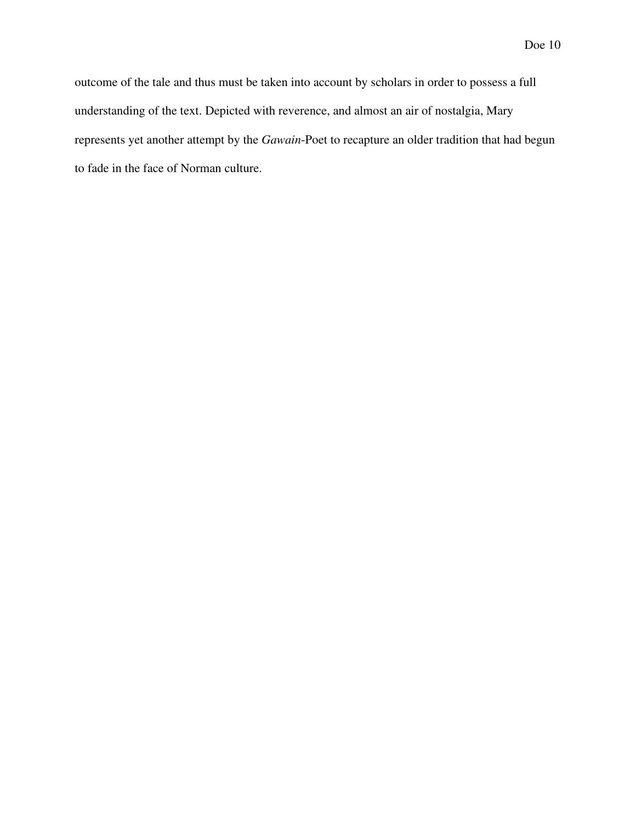outcome of the tale and thus must be taken into account by scholars in order to possess a full understanding of the text. Depicted with reverence, and almost an air of nostalgia, Mary represents yet another attempt by the *Gawain*-Poet to recapture an older tradition that had begun to fade in the face of Norman culture.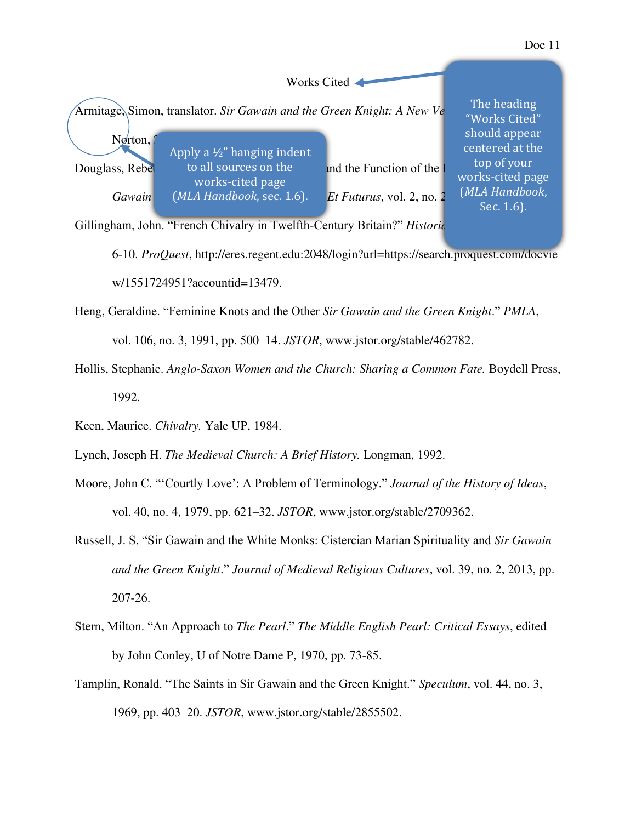## Works Cited Armitage, Simon, translator. *Sir Gawain and the Green Knight: A New Ve*  $N$ grton, Douglass, Rebelca M. The M. "Models" and the Function of the lite of the Liturgian *Signal Supplement* and the Function of the lite *Gawain* (*MLA Handbook, sec.* 1.6). *Let Futurus, vol.* 2, no. 2, <sup>(*MLA Handbool*)</sup> The heading "Works Cited" should appear centered at the top of your works-cited page (*MLA Handbook*, Sec. 1.6). Apply a ½" hanging indent to all sources on the works-cited page

Gillingham, John. "French Chivalry in Twelfth-Century Britain?" *Historic* 

6-10. *ProQuest*, http://eres.regent.edu:2048/login?url=https://search.proquest.com/docvie w/1551724951?accountid=13479.

Heng, Geraldine. "Feminine Knots and the Other *Sir Gawain and the Green Knight*." *PMLA*, vol. 106, no. 3, 1991, pp. 500–14. *JSTOR*, www.jstor.org/stable/462782.

- Hollis, Stephanie. *Anglo-Saxon Women and the Church: Sharing a Common Fate.* Boydell Press, 1992.
- Keen, Maurice. *Chivalry.* Yale UP, 1984.
- Lynch, Joseph H. *The Medieval Church: A Brief History.* Longman, 1992.
- Moore, John C. "'Courtly Love': A Problem of Terminology." *Journal of the History of Ideas*, vol. 40, no. 4, 1979, pp. 621–32. *JSTOR*, www.jstor.org/stable/2709362.
- Russell, J. S. "Sir Gawain and the White Monks: Cistercian Marian Spirituality and *Sir Gawain and the Green Knight*." *Journal of Medieval Religious Cultures*, vol. 39, no. 2, 2013, pp. 207-26.
- Stern, Milton. "An Approach to *The Pearl*." *The Middle English Pearl: Critical Essays*, edited by John Conley, U of Notre Dame P, 1970, pp. 73-85.
- Tamplin, Ronald. "The Saints in Sir Gawain and the Green Knight." *Speculum*, vol. 44, no. 3, 1969, pp. 403–20. *JSTOR*, www.jstor.org/stable/2855502.